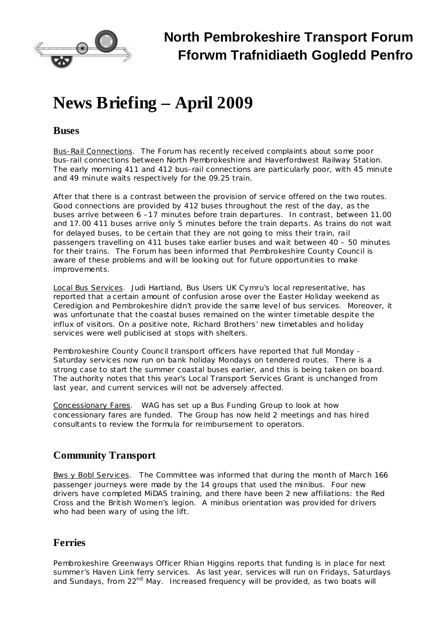

# **News Briefing – April 2009**

#### **Buses**

Bus-Rail Connections. The Forum has recently received complaints about some poor bus-rail connections between North Pembrokeshire and Haverfordwest Railway Station. The early morning 411 and 412 bus-rail connections are particularly poor, with 45 minute and 49 minute waits respectively for the 09.25 train.

After that there is a contrast between the provision of service offered on the two routes. Good connections are provided by 412 buses throughout the rest of the day, as the buses arrive between 6 –17 minutes before train departures. In contrast, between 11.00 and 17.00 411 buses arrive only 5 minutes before the train departs. As trains do not wait for delayed buses, to be certain that they are not going to miss their train, rail passengers travelling on 411 buses take earlier buses and wait between 40 – 50 minutes for their trains. The Forum has been informed that Pembrokeshire County Council is aware of these problems and will be looking out for future opportunities to make improvements.

Local Bus Services. Judi Hartland, Bus Users UK Cymru's local representative, has reported that a certain amount of confusion arose over the Easter Holiday weekend as Ceredigion and Pembrokeshire didn't provide the same level of bus services. Moreover, it was unfortunate that the coastal buses remained on the winter timetable despite the influx of visitors. On a positive note, Richard Brothers' new timetables and holiday services were well publicised at stops with shelters.

Pembrokeshire County Council transport officers have reported that full Monday - Saturday services now run on bank holiday Mondays on tendered routes. There is a strong case to start the summer coastal buses earlier, and this is being taken on board. The authority notes that this year's Local Transport Services Grant is unchanged from last year, and current services will not be adversely affected.

Concessionary Fares. WAG has set up a Bus Funding Group to look at how concessionary fares are funded. The Group has now held 2 meetings and has hired consultants to review the formula for reimbursement to operators.

## **Community Transport**

Bws y Bobl Services. The Committee was informed that during the month of March 166 passenger journeys were made by the 14 groups that used the minibus. Four new drivers have completed MiDAS training, and there have been 2 new affiliations: the Red Cross and the British Women's legion. A minibus orientation was provided for drivers who had been wary of using the lift.

## **Ferries**

Pembrokeshire Greenways Officer Rhian Higgins reports that funding is in place for next summer's Haven Link ferry services. As last year, services will run on Fridays, Saturdays and Sundays, from 22<sup>nd</sup> May. Increased frequency will be provided, as two boats will